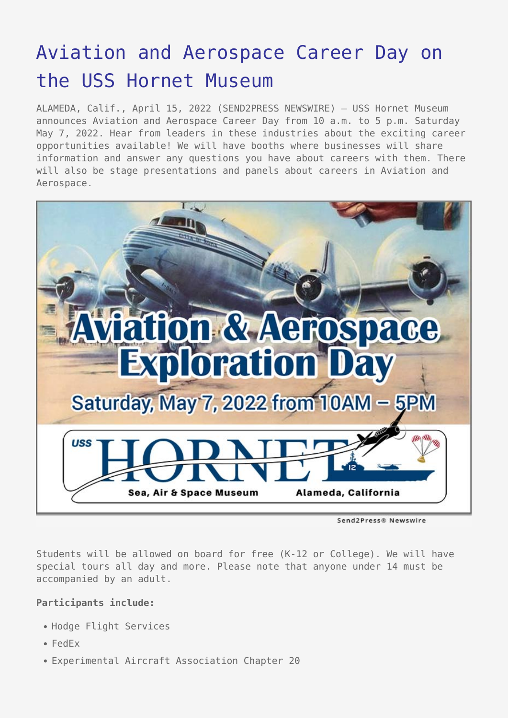## [Aviation and Aerospace Career Day on](https://www.send2press.com/wire/aviation-and-aerospace-career-day-on-the-uss-hornet-museum/) [the USS Hornet Museum](https://www.send2press.com/wire/aviation-and-aerospace-career-day-on-the-uss-hornet-museum/)

ALAMEDA, Calif., April 15, 2022 (SEND2PRESS NEWSWIRE) — USS Hornet Museum announces Aviation and Aerospace Career Day from 10 a.m. to 5 p.m. Saturday May 7, 2022. Hear from leaders in these industries about the exciting career opportunities available! We will have booths where businesses will share information and answer any questions you have about careers with them. There will also be stage presentations and panels about careers in Aviation and Aerospace.



Send2Press® Newswire

Students will be allowed on board for free (K-12 or College). We will have special tours all day and more. Please note that anyone under 14 must be accompanied by an adult.

## **Participants include:**

- Hodge Flight Services
- FedEx
- Experimental Aircraft Association Chapter 20